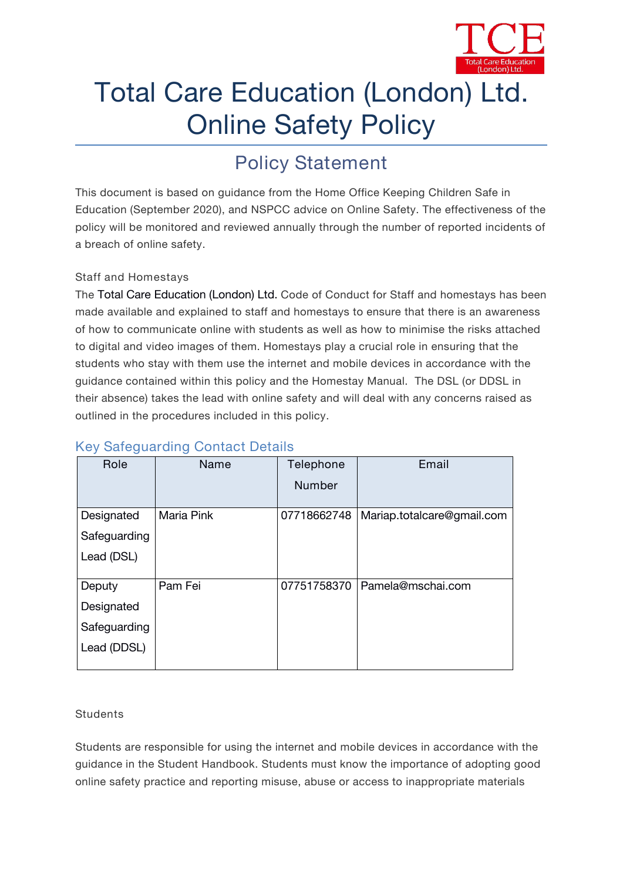

# Total Care Education (London) Ltd. Online Safety Policy

## **Policy Statement**

This document is based on guidance from the Home Office *Keeping Children Safe in Education* (September 2020), and NSPCC advice on Online Safety. The effectiveness of the policy will be monitored and reviewed annually through the number of reported incidents of a breach of online safety.

#### **Staff and Homestays**

The Total Care Education (London) Ltd. Code of Conduct for Staff and homestays has been made available and explained to staff and homestays to ensure that there is an awareness of how to communicate online with students as well as how to minimise the risks attached to digital and video images of them. Homestays play a crucial role in ensuring that the students who stay with them use the internet and mobile devices in accordance with the guidance contained within this policy and the Homestay Manual. The DSL (or DDSL in their absence) takes the lead with online safety and will deal with any concerns raised as outlined in the procedures included in this policy.

| Role         | Name       | Telephone     | Email                      |
|--------------|------------|---------------|----------------------------|
|              |            | <b>Number</b> |                            |
| Designated   | Maria Pink | 07718662748   | Mariap.totalcare@gmail.com |
| Safeguarding |            |               |                            |
| Lead (DSL)   |            |               |                            |
|              |            |               |                            |
| Deputy       | Pam Fei    | 07751758370   | Pamela@mschai.com          |
| Designated   |            |               |                            |
| Safeguarding |            |               |                            |
| Lead (DDSL)  |            |               |                            |
|              |            |               |                            |

### **Key Safeguarding Contact Details**

#### **Students**

Students are responsible for using the internet and mobile devices in accordance with the guidance in the Student Handbook. Students must know the importance of adopting good online safety practice and reporting misuse, abuse or access to inappropriate materials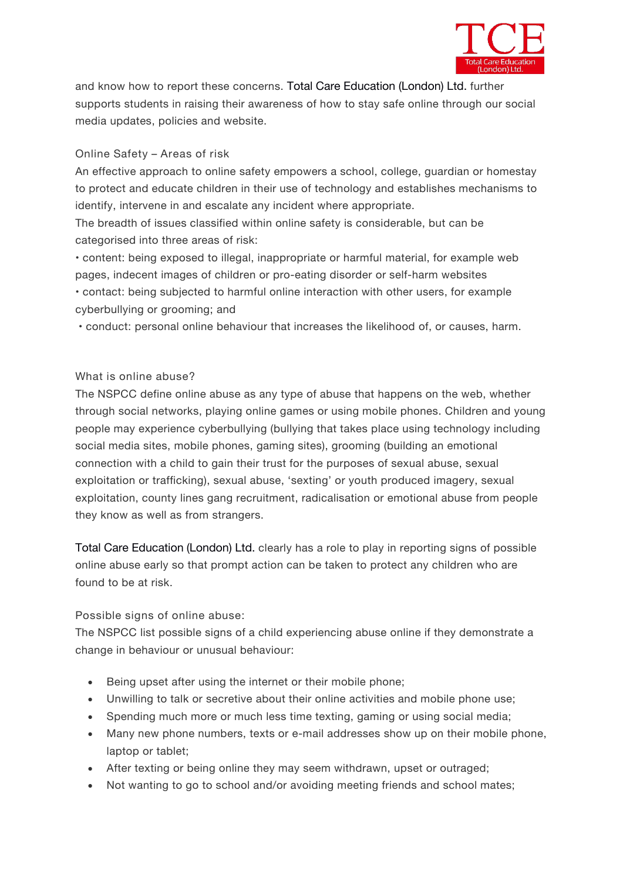

and know how to report these concerns. Total Care Education (London) Ltd. further supports students in raising their awareness of how to stay safe online through our social media updates, policies and website.

#### **Online Safety – Areas of risk**

An effective approach to online safety empowers a school, college, guardian or homestay to protect and educate children in their use of technology and establishes mechanisms to identify, intervene in and escalate any incident where appropriate.

The breadth of issues classified within online safety is considerable, but can be categorised into three areas of risk:

• content: being exposed to illegal, inappropriate or harmful material, for example web pages, indecent images of children or pro-eating disorder or self-harm websites • contact: being subjected to harmful online interaction with other users, for example cyberbullying or grooming; and

• conduct: personal online behaviour that increases the likelihood of, or causes, harm.

#### **What is online abuse?**

The NSPCC define online abuse as any type of abuse that happens on the web, whether through social networks, playing online games or using mobile phones. Children and young people may experience cyberbullying (bullying that takes place using technology including social media sites, mobile phones, gaming sites), grooming (building an emotional connection with a child to gain their trust for the purposes of sexual abuse, sexual exploitation or trafficking), sexual abuse, 'sexting' or youth produced imagery, sexual exploitation, county lines gang recruitment, radicalisation or emotional abuse from people they know as well as from strangers.

Total Care Education (London) Ltd. clearly has a role to play in reporting signs of possible online abuse early so that prompt action can be taken to protect any children who are found to be at risk.

#### **Possible signs of online abuse**:

The NSPCC list possible signs of a child experiencing abuse online if they demonstrate a change in behaviour or unusual behaviour:

- Being upset after using the internet or their mobile phone;
- Unwilling to talk or secretive about their online activities and mobile phone use;
- Spending much more or much less time texting, gaming or using social media;
- Many new phone numbers, texts or e-mail addresses show up on their mobile phone, laptop or tablet;
- After texting or being online they may seem withdrawn, upset or outraged;
- Not wanting to go to school and/or avoiding meeting friends and school mates;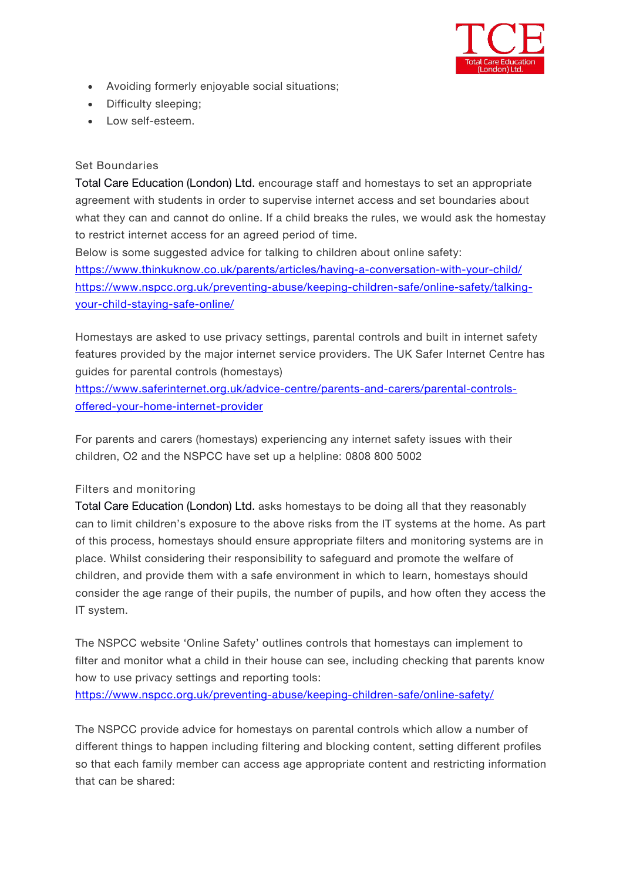

- Avoiding formerly enjoyable social situations;
- Difficulty sleeping;
- Low self-esteem.

#### **Set Boundaries**

Total Care Education (London) Ltd. encourage staff and homestays to set an appropriate agreement with students in order to supervise internet access and set boundaries about what they can and cannot do online. If a child breaks the rules, we would ask the homestay to restrict internet access for an agreed period of time.

Below is some suggested advice for talking to children about online safety: https://www.thinkuknow.co.uk/parents/articles/having-a-conversation-with-your-child/ [https://www.nspcc.org.uk/preventing-abuse/keeping-children-safe/online-safety/talking](about:blank) your-child-staying-safe-online/

Homestays are asked to use privacy settings, parental controls and built in internet safety features provided by the major internet service providers. The UK Safer Internet Centre has guides for parental controls (homestays)

[https://www.saferinternet.org.uk/advice-centre/parents-and-carers/parental-controls](about:blank) offered-your-home-internet-provider

For parents and carers (homestays) experiencing any internet safety issues with their children, O2 and the NSPCC have set up a helpline: 0808 800 5002

#### **Filters and monitoring**

Total Care Education (London) Ltd. asks homestays to be doing all that they reasonably can to limit children's exposure to the above risks from the IT systems at the home. As part of this process, homestays should ensure appropriate filters and monitoring systems are in place. Whilst considering their responsibility to safeguard and promote the welfare of children, and provide them with a safe environment in which to learn, homestays should consider the age range of their pupils, the number of pupils, and how often they access the IT system.

The NSPCC website 'Online Safety' outlines controls that homestays can implement to filter and monitor what a child in their house can see, including checking that parents know how to use privacy settings and reporting tools:

<https://www.nspcc.org.uk/preventing-abuse/keeping-children-safe/online-safety/>

The NSPCC provide advice for homestays on parental controls which allow a numberof different things to happen including filtering and blocking content, setting different profiles so that each family member can access age appropriate content and restricting information that can be shared: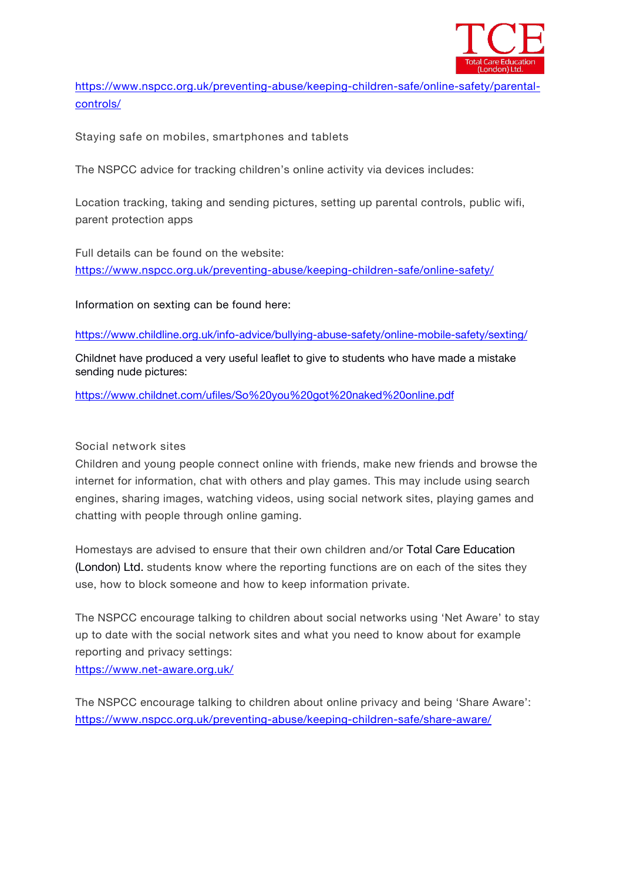

[https://www.nspcc.org.uk/preventing-abuse/keeping-children-safe/online-safety/parental](about:blank) controls/

**Staying safe on mobiles, smartphones and tablets**

The NSPCC advice for tracking children's online activity via devices includes:

Location tracking, taking and sending pictures, setting up parental controls, public wifi, parent protection apps

Full details can be found on the website: <https://www.nspcc.org.uk/preventing-abuse/keeping-children-safe/online-safety/>

Information on sexting can be found here:

[https://www.childline.org.uk/info-advice/bullying-abuse-safety/online-mobile-safety/sexting/](about:blank)

Childnet have produced a very useful leaflet to give to students who have made a mistake sending nude pictures:

<https://www.childnet.com/ufiles/So%20you%20got%20naked%20online.pdf>

#### **Social network sites**

Children and young people connect online with friends, make new friends and browse the internet for information, chat with others and play games. This may include using search engines, sharing images, watching videos, using social network sites, playing games and chatting with people through online gaming.

Homestays are advised to ensure that their own children and/or Total Care Education (London) Ltd. students know where the reporting functions are on each of the sites they use, how to block someone and how to keep information private.

The NSPCC encourage talking to children about social networks using 'Net Aware' to stay up to date with the social network sites and what you need to know about for example reporting and privacy settings:

[https://www.net-aware.org.uk/](about:blank)

The NSPCC encourage talking to children about online privacy and being 'Share Aware': [https://www.nspcc.org.uk/preventing-abuse/keeping-children-safe/share-aware/](about:blank)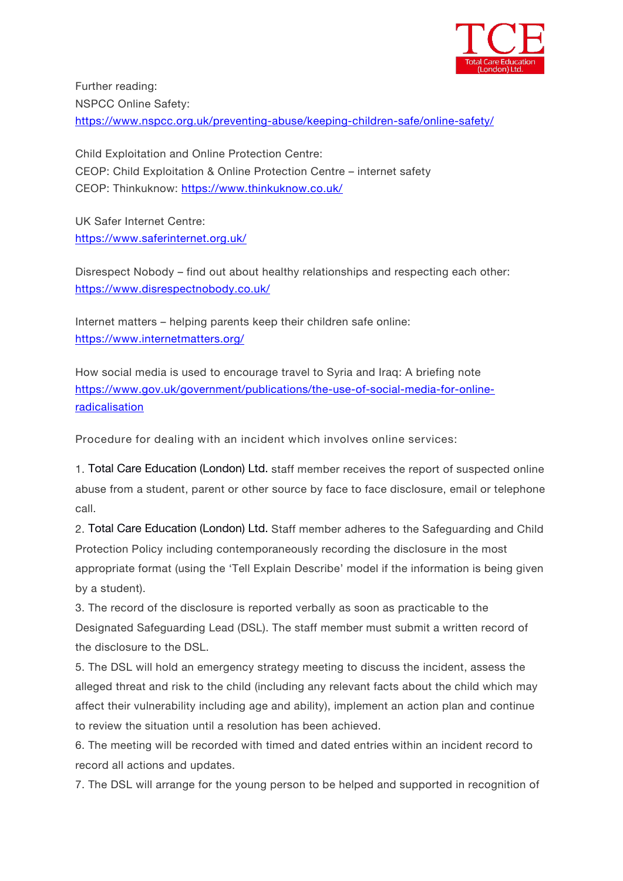

Further reading: NSPCC Online Safety: [https://www.nspcc.org.uk/preventing-abuse/keeping-children-safe/online-safety/](about:blank)

Child Exploitation and Online Protection Centre: CEOP: Child Exploitation & Online Protection Centre – internet safety CEOP: Thinkuknow: [https://www.thinkuknow.co.uk/](about:blank)

UK Safer Internet Centre: [https://www.saferinternet.org.uk/](about:blank)

Disrespect Nobody – find out about healthy relationships and respecting each other: [https://www.disrespectnobody.co.uk/](about:blank)

Internet matters – helping parents keep their children safe online: [https://www.internetmatters.org/](about:blank)

How social media is used to encourage travel to Syria and Iraq: A briefing note [https://www.gov.uk/government/publications/the-use-of-social-media-for-online](about:blank)radicalisation

**Procedure for dealing with an incident which involves online services:**

1. Total Care Education (London) Ltd. staff member receives the report of suspected online abuse from a student, parent or other source by face to face disclosure, email or telephone call.

2. Total Care Education (London) Ltd. Staff member adheres to the Safeguarding and Child Protection Policy including contemporaneously recording the disclosure in the most appropriate format (using the 'Tell Explain Describe' model if the information isbeing given by a student).

3. The record ofthe disclosure is reported verbally as soon as practicable to the Designated Safeguarding Lead (DSL). The staff member must submit a written record of the disclosure to the DSL.

5. The DSL will hold an emergency strategy meeting to discuss the incident, assess the alleged threat and risk to the child (including any relevant facts about the child which may affect their vulnerability including age and ability), implement an action plan and continue to review the situation until a resolution has been achieved.

6. The meeting will be recorded with timed and dated entries within an incident record to record all actions and updates.

7. The DSL will arrange for the young person to be helped and supported in recognition of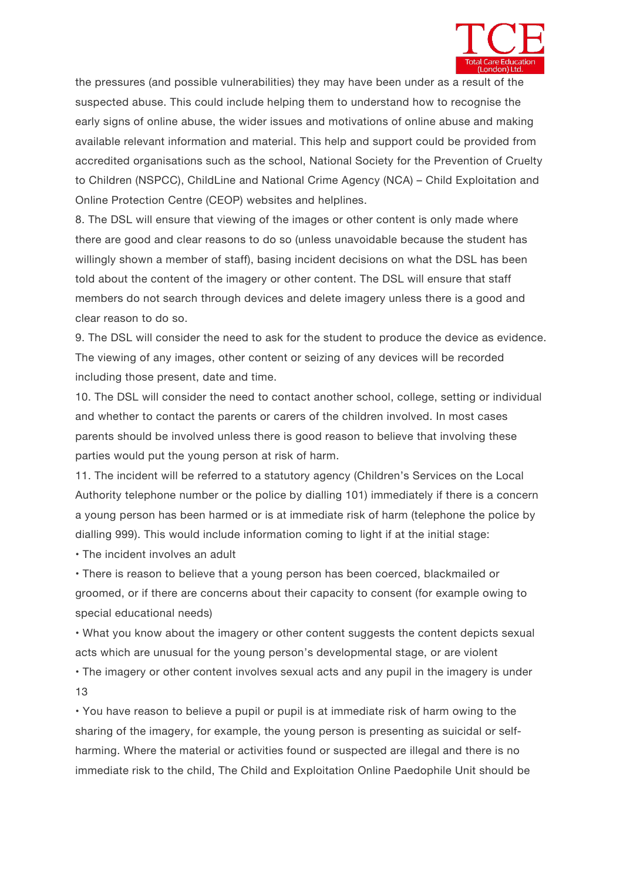

the pressures (and possible vulnerabilities) they may have been under as a result of the suspected abuse. This could include helping them to understand how to recognise the early signs of online abuse, the wider issues and motivations of online abuse and making available relevant information and material. This help and support could be provided from accredited organisations such as the school, National Society for the Prevention of Cruelty to Children (NSPCC), ChildLine and National Crime Agency (NCA) – Child Exploitation and Online Protection Centre (CEOP) websites and helplines.

8. The DSL will ensure that viewing of the images or other content is only made where there are good and clear reasons to do so (unless unavoidable because the student has willingly shown a member of staff), basing incident decisions on what the DSL has been told about the content of the imagery or other content. The DSL will ensure that staff members do not search through devices and delete imagery unless there is a good and clear reason to do so.

9. The DSL will consider the need to ask for the student to produce the device as evidence. The viewing of any images, other content or seizing of any devices will be recorded including those present, date and time.

10. The DSL will consider the need to contact another school, college, setting or individual and whether to contact the parents or carers of the children involved. In most cases parents should be involved unless there is good reason to believe that involving these parties would put the young person at risk of harm.

11. The incident will be referred to a statutory agency (Children's Services on the Local Authority telephone number or the police by dialling 101) immediately if there is a concern a young person has been harmed or is at immediate risk of harm (telephone the police by dialling 999). This would include information coming to light if at the initial stage:

• The incident involves an adult

• There is reason to believe that a young person has been coerced, blackmailed or groomed, or if there are concerns about their capacity to consent (for example owing to special educational needs)

• What you know about the imagery or other content suggests the content depicts sexual acts which are unusual for the young person's developmental stage, or are violent

• The imagery or other content involves sexual acts and any pupil in the imagery is under 13

• You have reason to believe a pupil or pupil is at immediate risk of harm owing to the sharing of the imagery, for example, the young person is presenting as suicidal or selfharming. Where the material or activities found or suspected are illegal and there is no immediate risk to the child, The Child and Exploitation Online Paedophile Unit should be